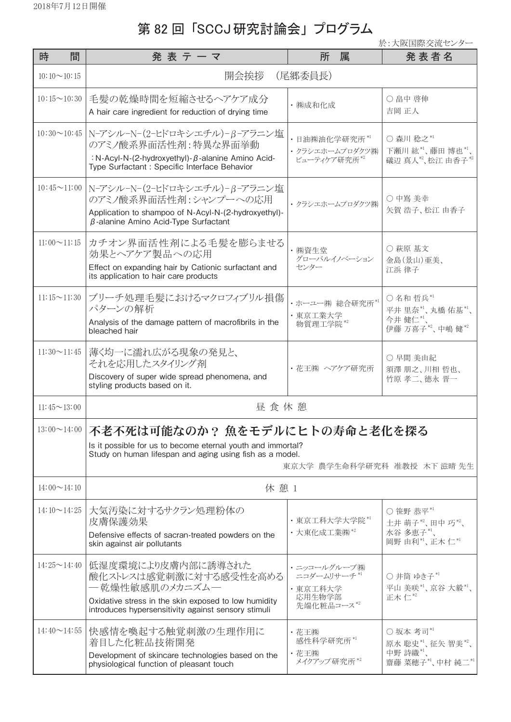## 第 82回「SCCJ研究討論会」プログラム

於:大阪国際交流センター

| 時<br>間             | 発 表 テ ー マ                                                                                                                                                                                             | 所<br>属                                                         | 発 表 者 名                                                    |  |
|--------------------|-------------------------------------------------------------------------------------------------------------------------------------------------------------------------------------------------------|----------------------------------------------------------------|------------------------------------------------------------|--|
| $10:10 \sim 10:15$ | 開会挨拶<br>(尾郷委員長)                                                                                                                                                                                       |                                                                |                                                            |  |
| $10:15 \sim 10:30$ | 毛髪の乾燥時間を短縮させるヘアケア成分<br>A hair care ingredient for reduction of drying time                                                                                                                            | · ㈱成和化成                                                        | ○ 畠中 啓伸<br>吉岡 正人                                           |  |
| $10:30 \sim 10:45$ | N-アシル-N-(2-ヒドロキシエチル)-β-アラニン塩<br>のアミノ酸系界面活性剤:特異な界面挙動<br>: N-Acyl-N-(2-hydroxyethyl)- $\beta$ -alanine Amino Acid-<br>Type Surfactant : Specific Interface Behavior                                     | ・日油㈱油化学研究所 *'<br>・クラシエホームプロダクツ(株)<br>ビューティケア研究所*2              | ○ 森川 稔之*1<br>下瀬川 紘*1、藤田博也*1、<br>礒辺 真人"、松江 由香子"             |  |
| $10:45 \sim 11:00$ | N-アシル-N-(2-ヒドロキシエチル)-β-アラニン塩<br>のアミノ酸系界面活性剤:シャンプーへの応用<br>Application to shampoo of N-Acyl-N-(2-hydroxyethyl)-<br>$\beta$ -alanine Amino Acid-Type Surfactant                                          | ・クラシエホームプロダクツ(株)                                               | ○ 中嶌 美幸<br>矢賀 浩子、松江 由香子                                    |  |
| $11:00 \sim 11:15$ | カチオン界面活性剤による毛髪を膨らませる<br>効果とヘアケア製品への応用<br>Effect on expanding hair by Cationic surfactant and<br>its application to hair care products                                                                 | ・㈱資生堂<br>グローバルイノベーション<br>センター                                  | ○ 萩原 基文<br>金島(景山)亜美、<br>江浜 律子                              |  |
| $11:15 \sim 11:30$ | ブリーチ処理毛髪におけるマクロフィブリル損傷<br>パターンの解析<br>Analysis of the damage pattern of macrofibrils in the<br>bleached hair                                                                                           | ・ホーユー(㈱ 総合研究所*1<br>· 東京工業大学<br>物質理工学院*2                        | ○名和哲兵*1<br>平井里奈"、丸橋佑基"、<br>今井健仁*1、<br>伊藤 万喜子"、中嶋健"         |  |
| $11:30 \sim 11:45$ | 薄く均一に濡れ広がる現象の発見と、<br>それを応用したスタイリング剤<br>Discovery of super wide spread phenomena, and<br>styling products based on it.                                                                                 | ・花王㈱ ヘアケア研究所                                                   | ○ 早間 美由紀<br>須澤 朋之、川相 哲也、<br>竹原 孝二、徳永 晋一                    |  |
| $11:45 \sim 13:00$ | 昼食休憩                                                                                                                                                                                                  |                                                                |                                                            |  |
|                    | 13:00~14:00   不老不死は可能なのか? 魚をモデルにヒトの寿命と老化を探る<br>Is it possible for us to become eternal youth and immortal?<br>Study on human lifespan and aging using fish as a model.<br>東京大学 農学生命科学研究科 准教授 木下 滋晴 先生 |                                                                |                                                            |  |
| $14:00 \sim 14:10$ | 休憩1                                                                                                                                                                                                   |                                                                |                                                            |  |
| $14:10 \sim 14:25$ | 大気汚染に対するサクラン処理粉体の<br>皮膚保護効果<br>Defensive effects of sacran-treated powders on the<br>skin against air pollutants                                                                                      | · 東京工科大学大学院*1<br>·大東化成工業㈱*2                                    | ○ 笹野 恭平*1<br>土井萌子*2、田中巧*2、<br>水谷 多恵子*1、<br>岡野由利*1、正木仁*1    |  |
| $14:25 \sim 14:40$ | 低湿度環境により皮膚内部に誘導された<br>酸化ストレスは感覚刺激に対する感受性を高める<br>―乾燥性敏感肌のメカニズム―<br>Oxidative stress in the skin exposed to low humidity<br>introduces hypersensitivity against sensory stimuli                         | ・ニッコールグループ㈱<br>ニコダームリサーチ*1<br>· 東京工科大学<br>応用生物学部<br>先端化粧品コース*2 | ○ 井筒 ゆき子*1<br>平山 美咲"、京谷大毅"、<br>正木仁*2                       |  |
| $14:40 \sim 14:55$ | 快感情を喚起する触覚刺激の生理作用に<br>着目した化粧品技術開発<br>Development of skincare technologies based on the<br>physiological function of pleasant touch                                                                    | ・花王㈱<br>感性科学研究所*1<br>・花王㈱<br>メイクアップ研究所*2                       | ○坂本 考司*1<br>原水 聡史*1、征矢智美*2、<br>中野詩織*1、<br>齋藤 菜穂子*1、中村 純二*1 |  |